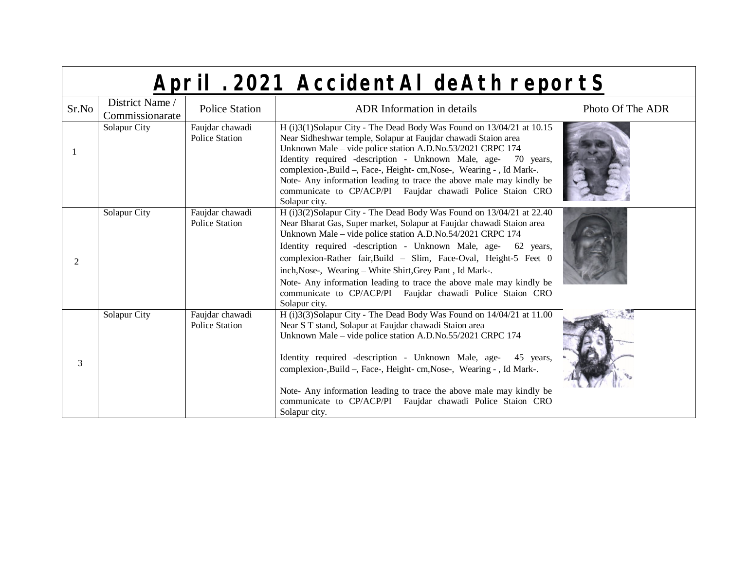| Sr.No          | District Name /<br>Commissionarate | <b>Police Station</b>                    | <b>ADR</b> Information in details                                                                                                                                                                                                                                                                                                                                                                                                                                                                                                                                  | Photo Of The ADR |
|----------------|------------------------------------|------------------------------------------|--------------------------------------------------------------------------------------------------------------------------------------------------------------------------------------------------------------------------------------------------------------------------------------------------------------------------------------------------------------------------------------------------------------------------------------------------------------------------------------------------------------------------------------------------------------------|------------------|
|                | Solapur City                       | Faujdar chawadi<br><b>Police Station</b> | H (i)3(1)Solapur City - The Dead Body Was Found on 13/04/21 at 10.15<br>Near Sidheshwar temple, Solapur at Faujdar chawadi Staion area<br>Unknown Male – vide police station A.D.No.53/2021 CRPC 174<br>Identity required -description - Unknown Male, age- 70 years,<br>complexion-, Build -, Face-, Height- cm, Nose-, Wearing - , Id Mark-.<br>Note- Any information leading to trace the above male may kindly be<br>communicate to CP/ACP/PI Faujdar chawadi Police Staion CRO<br>Solapur city.                                                               |                  |
| $\mathfrak{D}$ | Solapur City                       | Faujdar chawadi<br><b>Police Station</b> | H (i)3(2)Solapur City - The Dead Body Was Found on 13/04/21 at 22.40<br>Near Bharat Gas, Super market, Solapur at Faujdar chawadi Staion area<br>Unknown Male – vide police station A.D.No.54/2021 CRPC 174<br>Identity required -description - Unknown Male, age- 62 years,<br>complexion-Rather fair, Build - Slim, Face-Oval, Height-5 Feet 0<br>inch, Nose-, Wearing - White Shirt, Grey Pant, Id Mark-.<br>Note- Any information leading to trace the above male may kindly be<br>communicate to CP/ACP/PI Faujdar chawadi Police Staion CRO<br>Solapur city. |                  |
| 3              | Solapur City                       | Faujdar chawadi<br><b>Police Station</b> | H (i)3(3)Solapur City - The Dead Body Was Found on 14/04/21 at 11.00<br>Near S T stand, Solapur at Faujdar chawadi Staion area<br>Unknown Male - vide police station A.D.No.55/2021 CRPC 174<br>Identity required -description - Unknown Male, age-<br>45 years,<br>complexion-, Build -, Face-, Height- cm, Nose-, Wearing - , Id Mark-.<br>Note- Any information leading to trace the above male may kindly be<br>communicate to CP/ACP/PI Faujdar chawadi Police Staion CRO<br>Solapur city.                                                                    |                  |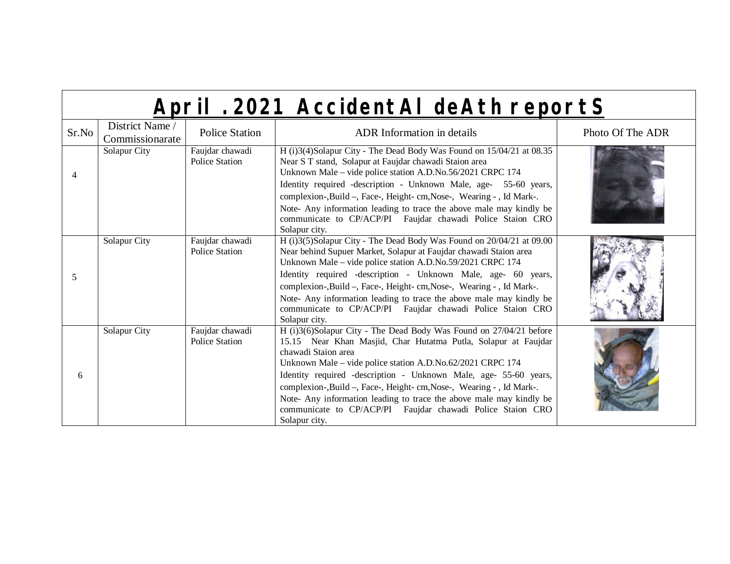| Sr.No          | District Name /<br>Commissionarate | <b>Police Station</b>                    | <b>ADR</b> Information in details                                                                                                                                                                                                                                                                                                                                                                                                                                                                                            | Photo Of The ADR |
|----------------|------------------------------------|------------------------------------------|------------------------------------------------------------------------------------------------------------------------------------------------------------------------------------------------------------------------------------------------------------------------------------------------------------------------------------------------------------------------------------------------------------------------------------------------------------------------------------------------------------------------------|------------------|
| $\overline{4}$ | Solapur City                       | Faujdar chawadi<br><b>Police Station</b> | H (i)3(4)Solapur City - The Dead Body Was Found on 15/04/21 at 08.35<br>Near S T stand, Solapur at Faujdar chawadi Staion area<br>Unknown Male – vide police station A.D.No.56/2021 CRPC 174<br>Identity required -description - Unknown Male, age- 55-60 years,<br>complexion-, Build -, Face-, Height- cm, Nose-, Wearing - , Id Mark-.<br>Note- Any information leading to trace the above male may kindly be<br>communicate to CP/ACP/PI Faujdar chawadi Police Staion CRO<br>Solapur city.                              |                  |
| 5              | Solapur City                       | Faujdar chawadi<br><b>Police Station</b> | H (i)3(5)Solapur City - The Dead Body Was Found on 20/04/21 at 09.00<br>Near behind Supuer Market, Solapur at Faujdar chawadi Staion area<br>Unknown Male – vide police station A.D.No.59/2021 CRPC 174<br>Identity required -description - Unknown Male, age- 60 years,<br>complexion-, Build -, Face-, Height- cm, Nose-, Wearing - , Id Mark-.<br>Note- Any information leading to trace the above male may kindly be<br>communicate to CP/ACP/PI Faujdar chawadi Police Staion CRO<br>Solapur city.                      |                  |
| 6              | Solapur City                       | Faujdar chawadi<br><b>Police Station</b> | H (i)3(6)Solapur City - The Dead Body Was Found on 27/04/21 before<br>15.15 Near Khan Masjid, Char Hutatma Putla, Solapur at Faujdar<br>chawadi Staion area<br>Unknown Male – vide police station A.D.No.62/2021 CRPC 174<br>Identity required -description - Unknown Male, age- 55-60 years,<br>complexion-, Build -, Face-, Height- cm, Nose-, Wearing - , Id Mark-.<br>Note- Any information leading to trace the above male may kindly be<br>communicate to CP/ACP/PI Faujdar chawadi Police Staion CRO<br>Solapur city. |                  |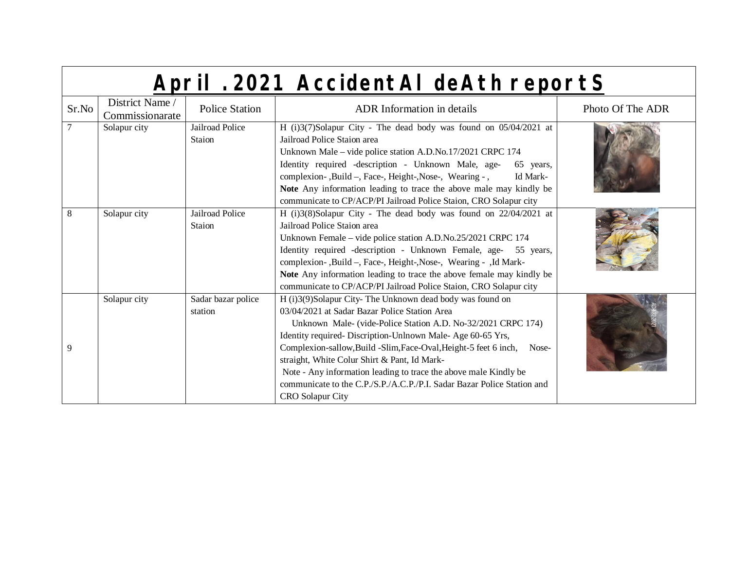|                | April . 2021 AccidentAI deAth reportS |                                  |                                                                                                                                                                                                                                                                                                                                                                                                                                                                                                                                          |                  |
|----------------|---------------------------------------|----------------------------------|------------------------------------------------------------------------------------------------------------------------------------------------------------------------------------------------------------------------------------------------------------------------------------------------------------------------------------------------------------------------------------------------------------------------------------------------------------------------------------------------------------------------------------------|------------------|
| Sr.No          | District Name /<br>Commissionarate    | <b>Police Station</b>            | <b>ADR</b> Information in details                                                                                                                                                                                                                                                                                                                                                                                                                                                                                                        | Photo Of The ADR |
| $\overline{7}$ | Solapur city                          | Jailroad Police<br><b>Staion</b> | H (i)3(7)Solapur City - The dead body was found on 05/04/2021 at<br>Jailroad Police Staion area<br>Unknown Male – vide police station A.D.No.17/2021 CRPC 174<br>Identity required -description - Unknown Male, age-<br>65 years,<br>complexion-, Build -, Face-, Height-, Nose-, Wearing -,<br>Id Mark-<br>Note Any information leading to trace the above male may kindly be<br>communicate to CP/ACP/PI Jailroad Police Staion, CRO Solapur city                                                                                      |                  |
| 8              | Solapur city                          | Jailroad Police<br><b>Staion</b> | H (i)3(8)Solapur City - The dead body was found on 22/04/2021 at<br>Jailroad Police Staion area<br>Unknown Female – vide police station A.D.No.25/2021 CRPC 174<br>Identity required -description - Unknown Female, age- 55 years,<br>complexion-, Build -, Face-, Height-, Nose-, Wearing - , Id Mark-<br>Note Any information leading to trace the above female may kindly be<br>communicate to CP/ACP/PI Jailroad Police Staion, CRO Solapur city                                                                                     |                  |
| 9              | Solapur city                          | Sadar bazar police<br>station    | H (i)3(9)Solapur City-The Unknown dead body was found on<br>03/04/2021 at Sadar Bazar Police Station Area<br>Unknown Male- (vide-Police Station A.D. No-32/2021 CRPC 174)<br>Identity required- Discription-Unlnown Male- Age 60-65 Yrs,<br>Complexion-sallow, Build -Slim, Face-Oval, Height-5 feet 6 inch,<br>Nose-<br>straight, White Colur Shirt & Pant, Id Mark-<br>Note - Any information leading to trace the above male Kindly be<br>communicate to the C.P./S.P./A.C.P./P.I. Sadar Bazar Police Station and<br>CRO Solapur City |                  |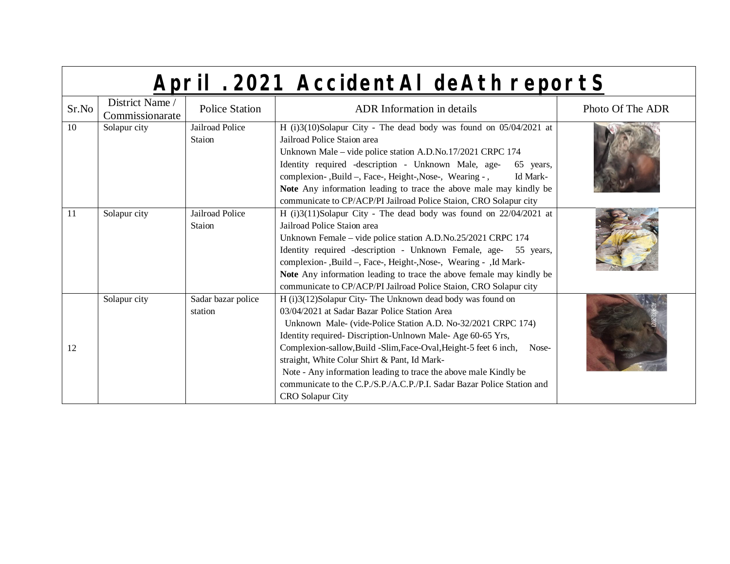|       | April . 2021 AccidentAl deAth reportS |                               |                                                                                                                                                                                                                                                                                                                                                                                                                                                                                                                                       |                  |
|-------|---------------------------------------|-------------------------------|---------------------------------------------------------------------------------------------------------------------------------------------------------------------------------------------------------------------------------------------------------------------------------------------------------------------------------------------------------------------------------------------------------------------------------------------------------------------------------------------------------------------------------------|------------------|
| Sr.No | District Name /<br>Commissionarate    | <b>Police Station</b>         | <b>ADR</b> Information in details                                                                                                                                                                                                                                                                                                                                                                                                                                                                                                     | Photo Of The ADR |
| 10    | Solapur city                          | Jailroad Police<br>Staion     | H (i)3(10)Solapur City - The dead body was found on 05/04/2021 at<br>Jailroad Police Staion area<br>Unknown Male – vide police station A.D.No.17/2021 CRPC 174<br>Identity required -description - Unknown Male, age-<br>65 years,<br>complexion-, Build -, Face-, Height-, Nose-, Wearing -,<br>Id Mark-<br>Note Any information leading to trace the above male may kindly be<br>communicate to CP/ACP/PI Jailroad Police Staion, CRO Solapur city                                                                                  |                  |
| 11    | Solapur city                          | Jailroad Police<br>Staion     | H (i)3(11)Solapur City - The dead body was found on 22/04/2021 at<br>Jailroad Police Staion area<br>Unknown Female - vide police station A.D.No.25/2021 CRPC 174<br>Identity required -description - Unknown Female, age- 55 years,<br>complexion-, Build -, Face-, Height-, Nose-, Wearing - , Id Mark-<br>Note Any information leading to trace the above female may kindly be<br>communicate to CP/ACP/PI Jailroad Police Staion, CRO Solapur city                                                                                 |                  |
| 12    | Solapur city                          | Sadar bazar police<br>station | H (i)3(12)Solapur City-The Unknown dead body was found on<br>03/04/2021 at Sadar Bazar Police Station Area<br>Unknown Male- (vide-Police Station A.D. No-32/2021 CRPC 174)<br>Identity required- Discription-Unlnown Male-Age 60-65 Yrs,<br>Complexion-sallow, Build -Slim, Face-Oval, Height-5 feet 6 inch, Nose-<br>straight, White Colur Shirt & Pant, Id Mark-<br>Note - Any information leading to trace the above male Kindly be<br>communicate to the C.P./S.P./A.C.P./P.I. Sadar Bazar Police Station and<br>CRO Solapur City |                  |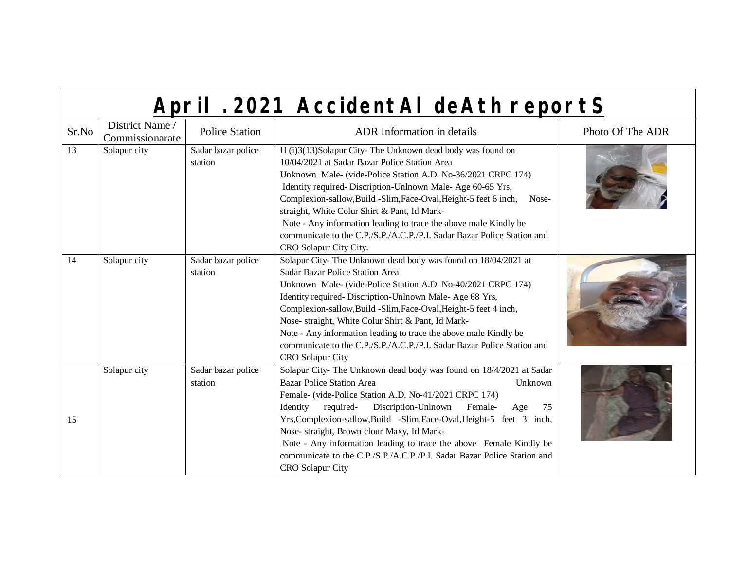| April . 2021 AccidentAI deAth reportS |  |
|---------------------------------------|--|
|                                       |  |

| Sr.No | District Name /<br>Commissionarate | <b>Police Station</b>         | <b>ADR</b> Information in details                                                                                                                                                                                                                                                                                                                                                                                                                                                                                                                       | Photo Of The ADR |
|-------|------------------------------------|-------------------------------|---------------------------------------------------------------------------------------------------------------------------------------------------------------------------------------------------------------------------------------------------------------------------------------------------------------------------------------------------------------------------------------------------------------------------------------------------------------------------------------------------------------------------------------------------------|------------------|
| 13    | Solapur city                       | Sadar bazar police<br>station | H (i)3(13)Solapur City-The Unknown dead body was found on<br>10/04/2021 at Sadar Bazar Police Station Area<br>Unknown Male- (vide-Police Station A.D. No-36/2021 CRPC 174)<br>Identity required- Discription-Unlnown Male-Age 60-65 Yrs,<br>Complexion-sallow, Build - Slim, Face-Oval, Height-5 feet 6 inch,<br>Nose-<br>straight, White Colur Shirt & Pant, Id Mark-<br>Note - Any information leading to trace the above male Kindly be<br>communicate to the C.P./S.P./A.C.P./P.I. Sadar Bazar Police Station and<br>CRO Solapur City City.         |                  |
| 14    | Solapur city                       | Sadar bazar police<br>station | Solapur City- The Unknown dead body was found on 18/04/2021 at<br>Sadar Bazar Police Station Area<br>Unknown Male- (vide-Police Station A.D. No-40/2021 CRPC 174)<br>Identity required-Discription-Unlnown Male-Age 68 Yrs,<br>Complexion-sallow, Build - Slim, Face-Oval, Height-5 feet 4 inch,<br>Nose- straight, White Colur Shirt & Pant, Id Mark-<br>Note - Any information leading to trace the above male Kindly be<br>communicate to the C.P./S.P./A.C.P./P.I. Sadar Bazar Police Station and<br><b>CRO</b> Solapur City                        |                  |
| 15    | Solapur city                       | Sadar bazar police<br>station | Solapur City- The Unknown dead body was found on 18/4/2021 at Sadar<br><b>Bazar Police Station Area</b><br>Unknown<br>Female- (vide-Police Station A.D. No-41/2021 CRPC 174)<br>Discription-Unlnown<br>Identity<br>required-<br>Female-<br>75<br>Age<br>Yrs, Complexion-sallow, Build -Slim, Face-Oval, Height-5 feet 3 inch,<br>Nose- straight, Brown clour Maxy, Id Mark-<br>Note - Any information leading to trace the above Female Kindly be<br>communicate to the C.P./S.P./A.C.P./P.I. Sadar Bazar Police Station and<br><b>CRO</b> Solapur City |                  |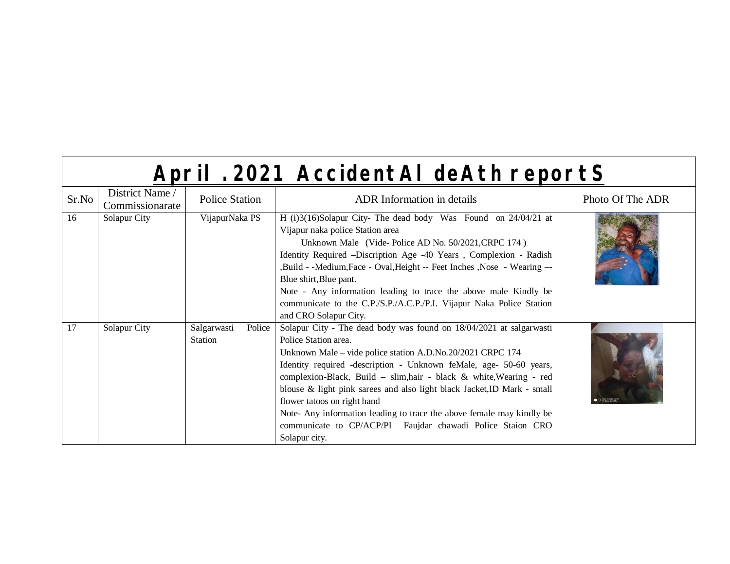|       | April . 2021 AccidentAl deAth reportS |                                         |                                                                                                                                                                                                                                                                                                                                                                                                                                                                                                                                                                          |                  |  |
|-------|---------------------------------------|-----------------------------------------|--------------------------------------------------------------------------------------------------------------------------------------------------------------------------------------------------------------------------------------------------------------------------------------------------------------------------------------------------------------------------------------------------------------------------------------------------------------------------------------------------------------------------------------------------------------------------|------------------|--|
| Sr.No | District Name /<br>Commissionarate    | <b>Police Station</b>                   | <b>ADR</b> Information in details                                                                                                                                                                                                                                                                                                                                                                                                                                                                                                                                        | Photo Of The ADR |  |
| 16    | Solapur City                          | VijapurNaka PS                          | H (i)3(16)Solapur City- The dead body Was Found on 24/04/21 at<br>Vijapur naka police Station area<br>Unknown Male (Vide-Police AD No. 50/2021, CRPC 174)<br>Identity Required -Discription Age -40 Years, Complexion - Radish<br>,Build - -Medium,Face - Oval,Height -- Feet Inches ,Nose - Wearing --<br>Blue shirt, Blue pant.<br>Note - Any information leading to trace the above male Kindly be<br>communicate to the C.P./S.P./A.C.P./P.I. Vijapur Naka Police Station<br>and CRO Solapur City.                                                                   |                  |  |
| 17    | Solapur City                          | Police<br>Salgarwasti<br><b>Station</b> | Solapur City - The dead body was found on 18/04/2021 at salgarwasti<br>Police Station area.<br>Unknown Male – vide police station A.D.No.20/2021 CRPC 174<br>Identity required -description - Unknown feMale, age- 50-60 years,<br>complexion-Black, Build - slim, hair - black & white, Wearing - red<br>blouse & light pink sarees and also light black Jacket, ID Mark - small<br>flower tatoos on right hand<br>Note- Any information leading to trace the above female may kindly be<br>communicate to CP/ACP/PI Faujdar chawadi Police Staion CRO<br>Solapur city. |                  |  |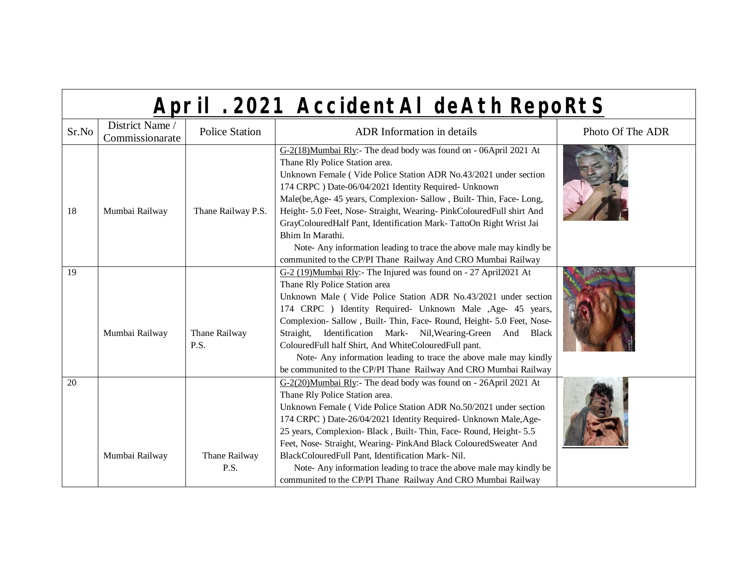| Sr.No | District Name /<br>Commissionarate | <b>Police Station</b> | <b>ADR</b> Information in details                                                                                                                                                                                                                                                                                                                                                                                                                                                                                                                                                                                | Photo Of The ADR |
|-------|------------------------------------|-----------------------|------------------------------------------------------------------------------------------------------------------------------------------------------------------------------------------------------------------------------------------------------------------------------------------------------------------------------------------------------------------------------------------------------------------------------------------------------------------------------------------------------------------------------------------------------------------------------------------------------------------|------------------|
| 18    | Mumbai Railway                     | Thane Railway P.S.    | G-2(18)Mumbai Rly:- The dead body was found on - 06April 2021 At<br>Thane Rly Police Station area.<br>Unknown Female (Vide Police Station ADR No.43/2021 under section<br>174 CRPC ) Date-06/04/2021 Identity Required- Unknown<br>Male(be, Age- 45 years, Complexion- Sallow, Built-Thin, Face- Long,<br>Height- 5.0 Feet, Nose- Straight, Wearing- PinkColouredFull shirt And<br>GrayColouredHalf Pant, Identification Mark-TattoOn Right Wrist Jai<br>Bhim In Marathi.<br>Note- Any information leading to trace the above male may kindly be<br>communited to the CP/PI Thane Railway And CRO Mumbai Railway |                  |
| 19    | Mumbai Railway                     | Thane Railway<br>P.S. | G-2 (19)Mumbai Rly:- The Injured was found on - 27 April2021 At<br>Thane Rly Police Station area<br>Unknown Male (Vide Police Station ADR No.43/2021 under section<br>174 CRPC ) Identity Required- Unknown Male , Age- 45 years,<br>Complexion- Sallow, Built-Thin, Face- Round, Height- 5.0 Feet, Nose-<br>Straight, Identification Mark- Nil, Wearing-Green And Black<br>ColouredFull half Shirt, And WhiteColouredFull pant.<br>Note- Any information leading to trace the above male may kindly<br>be communited to the CP/PI Thane Railway And CRO Mumbai Railway                                          |                  |
| 20    | Mumbai Railway                     | Thane Railway<br>P.S. | G-2(20)Mumbai Rly:- The dead body was found on - 26April 2021 At<br>Thane Rly Police Station area.<br>Unknown Female (Vide Police Station ADR No.50/2021 under section<br>174 CRPC ) Date-26/04/2021 Identity Required- Unknown Male, Age-<br>25 years, Complexion-Black, Built-Thin, Face-Round, Height-5.5<br>Feet, Nose- Straight, Wearing- PinkAnd Black ColouredSweater And<br>BlackColouredFull Pant, Identification Mark-Nil.<br>Note-Any information leading to trace the above male may kindly be<br>communited to the CP/PI Thane Railway And CRO Mumbai Railway                                       |                  |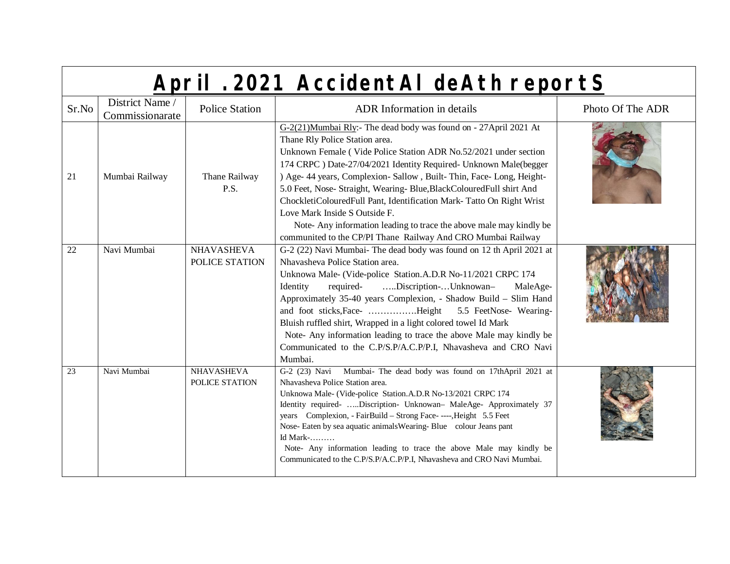|  | April . 2021 AccidentAI deAth reportS |
|--|---------------------------------------|
|  |                                       |

| Sr.No           | District Name /<br>Commissionarate | <b>Police Station</b>               | <b>ADR</b> Information in details                                                                                                                                                                                                                                                                                                                                                                                                                                                                                                                                                                                                           | Photo Of The ADR |
|-----------------|------------------------------------|-------------------------------------|---------------------------------------------------------------------------------------------------------------------------------------------------------------------------------------------------------------------------------------------------------------------------------------------------------------------------------------------------------------------------------------------------------------------------------------------------------------------------------------------------------------------------------------------------------------------------------------------------------------------------------------------|------------------|
| 21              | Mumbai Railway                     | Thane Railway<br>P.S.               | G-2(21)Mumbai Rly:- The dead body was found on - 27April 2021 At<br>Thane Rly Police Station area.<br>Unknown Female (Vide Police Station ADR No.52/2021 under section<br>174 CRPC ) Date-27/04/2021 Identity Required- Unknown Male(begger<br>) Age- 44 years, Complexion- Sallow, Built-Thin, Face- Long, Height-<br>5.0 Feet, Nose- Straight, Wearing- Blue, BlackColouredFull shirt And<br>ChockletiColouredFull Pant, Identification Mark- Tatto On Right Wrist<br>Love Mark Inside S Outside F.<br>Note-Any information leading to trace the above male may kindly be<br>communited to the CP/PI Thane Railway And CRO Mumbai Railway |                  |
| 22              | Navi Mumbai                        | <b>NHAVASHEVA</b><br>POLICE STATION | G-2 (22) Navi Mumbai- The dead body was found on 12 th April 2021 at<br>Nhavasheva Police Station area.<br>Unknowa Male- (Vide-police Station.A.D.R No-11/2021 CRPC 174<br>Discription-Unknowan-<br>required-<br>Identity<br>MaleAge-<br>Approximately 35-40 years Complexion, - Shadow Build - Slim Hand<br>Bluish ruffled shirt, Wrapped in a light colored towel Id Mark<br>Note- Any information leading to trace the above Male may kindly be<br>Communicated to the C.P/S.P/A.C.P/P.I, Nhavasheva and CRO Navi<br>Mumbai.                                                                                                             |                  |
| $\overline{23}$ | Navi Mumbai                        | NHAVASHEVA<br>POLICE STATION        | G-2 (23) Navi Mumbai- The dead body was found on 17thApril 2021 at<br>Nhavasheva Police Station area.<br>Unknowa Male- (Vide-police Station.A.D.R No-13/2021 CRPC 174<br>Identity required- Discription- Unknowan- MaleAge- Approximately 37<br>years Complexion, - FairBuild - Strong Face- ----, Height 5.5 Feet<br>Nose- Eaten by sea aquatic animals Wearing- Blue colour Jeans pant<br>Id Mark-<br>Note- Any information leading to trace the above Male may kindly be<br>Communicated to the C.P/S.P/A.C.P/P.I, Nhavasheva and CRO Navi Mumbai.                                                                                       |                  |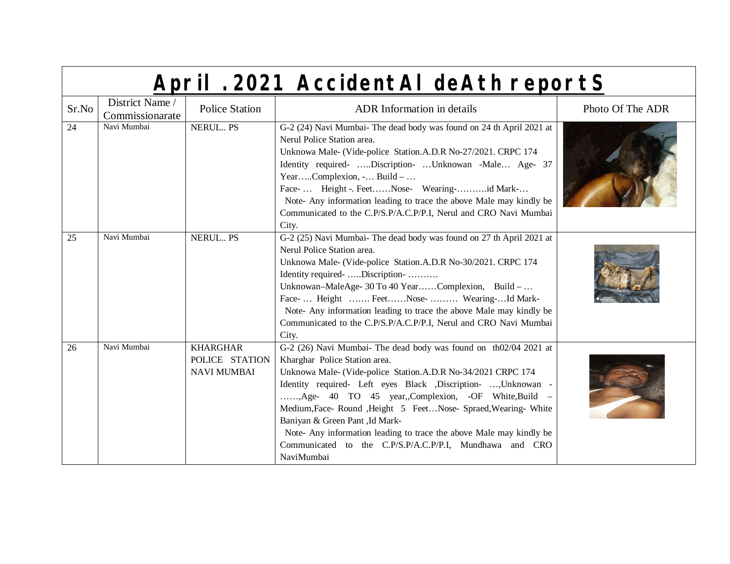|  | April . 2021 AccidentAI deAth reportS |
|--|---------------------------------------|
|  |                                       |

| Sr.No | District Name /<br>Commissionarate | <b>Police Station</b>                                   | <b>ADR</b> Information in details                                                                                                                                                                                                                                                                                                                                                                                                                                                                                                             | Photo Of The ADR |
|-------|------------------------------------|---------------------------------------------------------|-----------------------------------------------------------------------------------------------------------------------------------------------------------------------------------------------------------------------------------------------------------------------------------------------------------------------------------------------------------------------------------------------------------------------------------------------------------------------------------------------------------------------------------------------|------------------|
| 24    | Navi Mumbai                        | NERUL PS                                                | G-2 (24) Navi Mumbai- The dead body was found on 24 th April 2021 at<br>Nerul Police Station area.<br>Unknowa Male- (Vide-police Station.A.D.R No-27/2021. CRPC 174<br>Identity required- Discription- Unknowan -Male Age- 37<br>YearComplexion, - Build –<br>Face- Height -. FeetNose- Wearing-id Mark-<br>Note- Any information leading to trace the above Male may kindly be<br>Communicated to the C.P/S.P/A.C.P/P.I, Nerul and CRO Navi Mumbai<br>City.                                                                                  |                  |
| 25    | Navi Mumbai                        | <b>NERUL PS</b>                                         | G-2 (25) Navi Mumbai- The dead body was found on 27 th April 2021 at<br>Nerul Police Station area.<br>Unknowa Male- (Vide-police Station.A.D.R No-30/2021. CRPC 174<br>Identity required- Discription-<br>Unknowan-MaleAge- 30 To 40 YearComplexion, Build -<br>Face-  Height  FeetNose-  Wearing-Id Mark-<br>Note- Any information leading to trace the above Male may kindly be<br>Communicated to the C.P/S.P/A.C.P/P.I, Nerul and CRO Navi Mumbai<br>City.                                                                                |                  |
| 26    | Navi Mumbai                        | <b>KHARGHAR</b><br>POLICE STATION<br><b>NAVI MUMBAI</b> | G-2 (26) Navi Mumbai- The dead body was found on th02/04 2021 at<br>Kharghar Police Station area.<br>Unknowa Male- (Vide-police Station.A.D.R No-34/2021 CRPC 174<br>Identity required- Left eyes Black , Discription- , Unknowan -<br>, Age- 40 TO 45 year, Complexion, -OF White, Build -<br>Medium, Face-Round, Height 5 Feet Nose-Spraed, Wearing-White<br>Baniyan & Green Pant, Id Mark-<br>Note- Any information leading to trace the above Male may kindly be<br>Communicated to the C.P/S.P/A.C.P/P.I, Mundhawa and CRO<br>NaviMumbai |                  |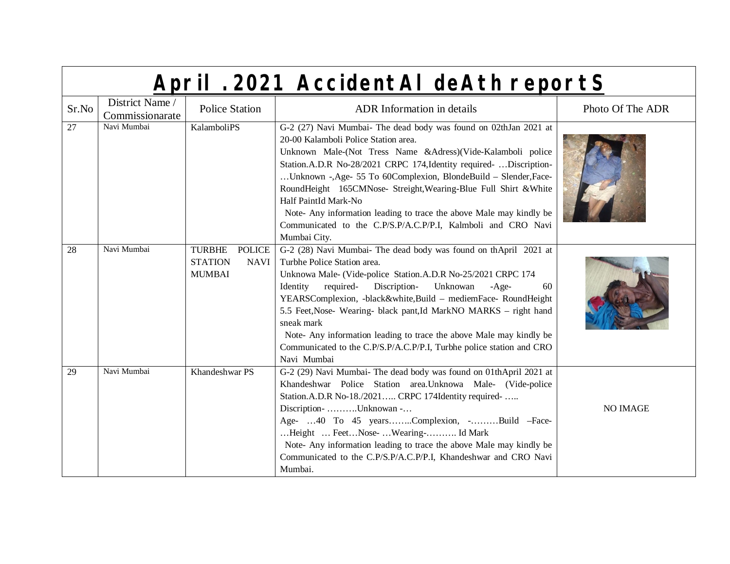| Sr.No | District Name /<br>Commissionarate | <b>Police Station</b>                                                            | <b>ADR</b> Information in details                                                                                                                                                                                                                                                                                                                                                                                                                                                                                                                                      | Photo Of The ADR |
|-------|------------------------------------|----------------------------------------------------------------------------------|------------------------------------------------------------------------------------------------------------------------------------------------------------------------------------------------------------------------------------------------------------------------------------------------------------------------------------------------------------------------------------------------------------------------------------------------------------------------------------------------------------------------------------------------------------------------|------------------|
| 27    | Navi Mumbai                        | KalamboliPS                                                                      | G-2 (27) Navi Mumbai- The dead body was found on 02thJan 2021 at<br>20-00 Kalamboli Police Station area.<br>Unknown Male-(Not Tress Name &Adress)(Vide-Kalamboli police<br>Station.A.D.R No-28/2021 CRPC 174, Identity required-  Discription-<br>Unknown -, Age- 55 To 60 Complexion, BlondeBuild - Slender, Face-<br>RoundHeight 165CMNose- Streight, Wearing-Blue Full Shirt & White<br>Half PaintId Mark-No<br>Note- Any information leading to trace the above Male may kindly be<br>Communicated to the C.P/S.P/A.C.P/P.I, Kalmboli and CRO Navi<br>Mumbai City. |                  |
| 28    | Navi Mumbai                        | <b>TURBHE</b><br><b>POLICE</b><br><b>STATION</b><br><b>NAVI</b><br><b>MUMBAI</b> | G-2 (28) Navi Mumbai- The dead body was found on thApril 2021 at<br>Turbhe Police Station area.<br>Unknowa Male- (Vide-police Station.A.D.R No-25/2021 CRPC 174<br>required- Discription-<br>Unknowan<br>Identity<br>$-Age-$<br>60<br>YEARSComplexion, -black&white,Build - mediemFace- RoundHeight<br>5.5 Feet, Nose- Wearing- black pant, Id MarkNO MARKS - right hand<br>sneak mark<br>Note- Any information leading to trace the above Male may kindly be<br>Communicated to the C.P/S.P/A.C.P/P.I, Turbhe police station and CRO<br>Navi Mumbai                   |                  |
| 29    | Navi Mumbai                        | Khandeshwar PS                                                                   | G-2 (29) Navi Mumbai- The dead body was found on 01thApril 2021 at<br>Khandeshwar Police Station area.Unknowa Male- (Vide-police<br>Station.A.D.R No-18./2021 CRPC 174Identity required-<br>Discription- Unknowan -<br>Age- 40 To 45 yearsComplexion, -Build -Face-<br>Height  Feet Nose-  Wearing- Id Mark<br>Note- Any information leading to trace the above Male may kindly be<br>Communicated to the C.P/S.P/A.C.P/P.I, Khandeshwar and CRO Navi<br>Mumbai.                                                                                                       | <b>NO IMAGE</b>  |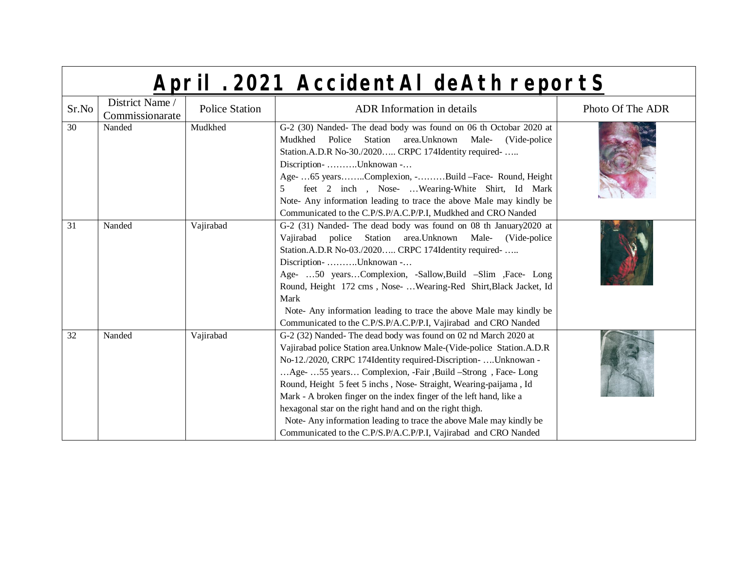|                 | April . 2021 AccidentAl deAth reportS |                       |                                                                                                                                                                                                                                                                                                                                                                                                                                                                                                                                                                                                                            |                  |
|-----------------|---------------------------------------|-----------------------|----------------------------------------------------------------------------------------------------------------------------------------------------------------------------------------------------------------------------------------------------------------------------------------------------------------------------------------------------------------------------------------------------------------------------------------------------------------------------------------------------------------------------------------------------------------------------------------------------------------------------|------------------|
| Sr.No           | District Name /<br>Commissionarate    | <b>Police Station</b> | <b>ADR</b> Information in details                                                                                                                                                                                                                                                                                                                                                                                                                                                                                                                                                                                          | Photo Of The ADR |
| $\overline{30}$ | Nanded                                | Mudkhed               | G-2 (30) Nanded- The dead body was found on 06 th Octobar 2020 at<br>Police Station area. Unknown<br>Male-<br>Mudkhed<br>(Vide-police)<br>Station.A.D.R No-30./2020 CRPC 174Identity required-<br>Discription- Unknowan -<br>Age- 65 yearsComplexion, -Build -Face- Round, Height<br>feet 2 inch , Nose-  Wearing-White Shirt, Id Mark<br>5<br>Note- Any information leading to trace the above Male may kindly be<br>Communicated to the C.P/S.P/A.C.P/P.I, Mudkhed and CRO Nanded                                                                                                                                        |                  |
| 31              | Nanded                                | Vajirabad             | G-2 (31) Nanded- The dead body was found on 08 th January 2020 at<br>Vajirabad police Station area. Unknown<br>Male- (Vide-police<br>Station.A.D.R No-03./2020 CRPC 174Identity required-<br>Discription- Unknowan -<br>Age- 50 yearsComplexion, -Sallow,Build -Slim ,Face- Long<br>Round, Height 172 cms, Nose-  Wearing-Red Shirt, Black Jacket, Id<br>Mark<br>Note- Any information leading to trace the above Male may kindly be<br>Communicated to the C.P/S.P/A.C.P/P.I, Vajirabad and CRO Nanded                                                                                                                    |                  |
| $\overline{32}$ | Nanded                                | Vajirabad             | G-2 (32) Nanded-The dead body was found on 02 nd March 2020 at<br>Vajirabad police Station area. Unknow Male-(Vide-police Station.A.D.R<br>No-12./2020, CRPC 174Identity required-Discription-  Unknowan -<br>Age-  55 years Complexion, -Fair ,Build -Strong, Face- Long<br>Round, Height 5 feet 5 inchs, Nose-Straight, Wearing-paijama, Id<br>Mark - A broken finger on the index finger of the left hand, like a<br>hexagonal star on the right hand and on the right thigh.<br>Note- Any information leading to trace the above Male may kindly be<br>Communicated to the C.P/S.P/A.C.P/P.I, Vajirabad and CRO Nanded |                  |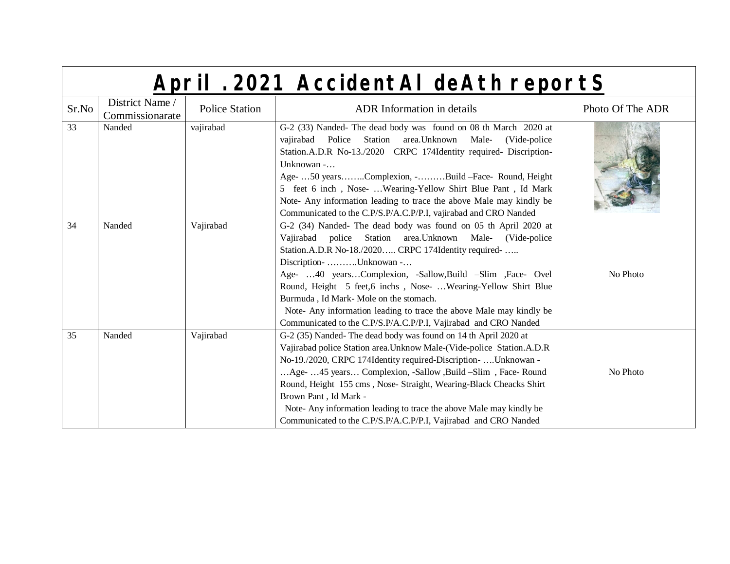|       | April . 2021 AccidentAl deAth reportS |                       |                                                                                                                                                                                                                                                                                                                                                                                                                                                                                                                                   |                  |
|-------|---------------------------------------|-----------------------|-----------------------------------------------------------------------------------------------------------------------------------------------------------------------------------------------------------------------------------------------------------------------------------------------------------------------------------------------------------------------------------------------------------------------------------------------------------------------------------------------------------------------------------|------------------|
| Sr.No | District Name /<br>Commissionarate    | <b>Police Station</b> | <b>ADR</b> Information in details                                                                                                                                                                                                                                                                                                                                                                                                                                                                                                 | Photo Of The ADR |
| 33    | Nanded                                | vajirabad             | G-2 (33) Nanded- The dead body was found on 08 th March 2020 at<br>Police<br>Station<br>area. Unknown<br>Male-<br>vajirabad<br>(Vide-police)<br>Station.A.D.R No-13./2020 CRPC 174Identity required- Discription-<br>Unknowan -<br>Age-  50 yearsComplexion, -Build -Face- Round, Height<br>5 feet 6 inch, Nose-  Wearing-Yellow Shirt Blue Pant, Id Mark<br>Note- Any information leading to trace the above Male may kindly be<br>Communicated to the C.P/S.P/A.C.P/P.I, vajirabad and CRO Nanded                               |                  |
| 34    | Nanded                                | Vajirabad             | G-2 (34) Nanded- The dead body was found on 05 th April 2020 at<br>Vajirabad police Station area. Unknown Male- (Vide-police<br>Station.A.D.R No-18./2020 CRPC 174Identity required-<br>Discription- Unknowan -<br>Age- 40 yearsComplexion, -Sallow,Build -Slim ,Face- Ovel<br>Round, Height 5 feet, 6 inchs, Nose-  Wearing-Yellow Shirt Blue<br>Burmuda, Id Mark-Mole on the stomach.<br>Note- Any information leading to trace the above Male may kindly be<br>Communicated to the C.P/S.P/A.C.P/P.I, Vajirabad and CRO Nanded | No Photo         |
| 35    | Nanded                                | Vajirabad             | G-2 (35) Nanded-The dead body was found on 14 th April 2020 at<br>Vajirabad police Station area. Unknow Male-(Vide-police Station.A.D.R<br>No-19./2020, CRPC 174Identity required-Discription-  Unknowan -<br>Age-  45 years Complexion, -Sallow ,Build -Slim, Face-Round<br>Round, Height 155 cms, Nose- Straight, Wearing-Black Cheacks Shirt<br>Brown Pant, Id Mark -<br>Note-Any information leading to trace the above Male may kindly be<br>Communicated to the C.P/S.P/A.C.P/P.I, Vajirabad and CRO Nanded                 | No Photo         |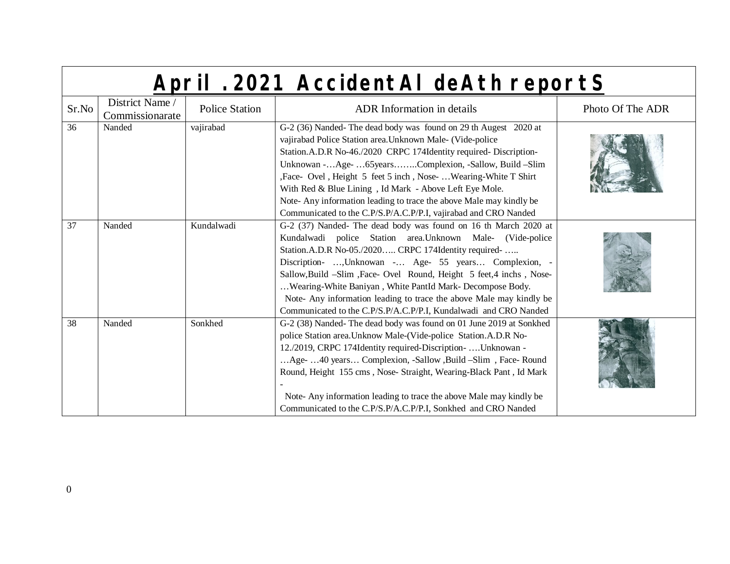|                 | April . 2021 AccidentAl deAth reportS |                       |                                                                                                                                                                                                                                                                                                                                                                                                                                                                                                                                   |                  |
|-----------------|---------------------------------------|-----------------------|-----------------------------------------------------------------------------------------------------------------------------------------------------------------------------------------------------------------------------------------------------------------------------------------------------------------------------------------------------------------------------------------------------------------------------------------------------------------------------------------------------------------------------------|------------------|
| Sr.No           | District Name /<br>Commissionarate    | <b>Police Station</b> | ADR Information in details                                                                                                                                                                                                                                                                                                                                                                                                                                                                                                        | Photo Of The ADR |
| $\overline{36}$ | Nanded                                | vajirabad             | G-2 (36) Nanded-The dead body was found on 29 th Augest 2020 at<br>vajirabad Police Station area. Unknown Male- (Vide-police<br>Station.A.D.R No-46./2020 CRPC 174Identity required-Discription-<br>Unknowan -Age- 65 yearsComplexion, -Sallow, Build -Slim<br>, Face- Ovel, Height 5 feet 5 inch, Nose- Wearing-White T Shirt<br>With Red & Blue Lining, Id Mark - Above Left Eye Mole.<br>Note-Any information leading to trace the above Male may kindly be<br>Communicated to the C.P/S.P/A.C.P/P.I, vajirabad and CRO Nanded |                  |
| 37              | Nanded                                | Kundalwadi            | G-2 (37) Nanded- The dead body was found on 16 th March 2020 at<br>Kundalwadi police Station area. Unknown Male- (Vide-police<br>Station.A.D.R No-05./2020 CRPC 174Identity required-<br>Discription- , Unknowan - Age- 55 years Complexion, -<br>Sallow, Build -Slim, Face- Ovel Round, Height 5 feet, 4 inchs, Nose-<br>Wearing-White Baniyan, White PantId Mark- Decompose Body.<br>Note- Any information leading to trace the above Male may kindly be<br>Communicated to the C.P/S.P/A.C.P/P.I, Kundalwadi and CRO Nanded    |                  |
| 38              | Nanded                                | Sonkhed               | G-2 (38) Nanded-The dead body was found on 01 June 2019 at Sonkhed<br>police Station area. Unknow Male-(Vide-police Station.A.D.R No-<br>12./2019, CRPC 174Identity required-Discription-  Unknowan -<br>Age-  40 years Complexion, -Sallow ,Build -Slim, Face-Round<br>Round, Height 155 cms, Nose- Straight, Wearing-Black Pant, Id Mark<br>Note-Any information leading to trace the above Male may kindly be<br>Communicated to the C.P/S.P/A.C.P/P.I, Sonkhed and CRO Nanded                                                 |                  |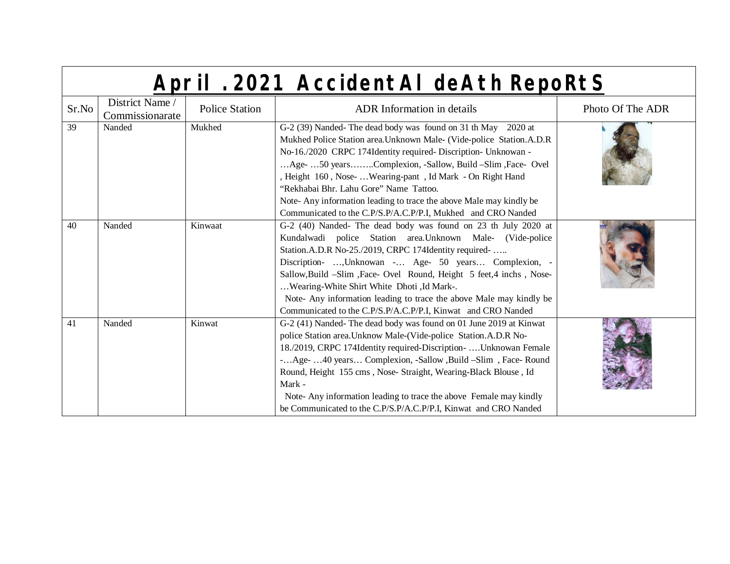| Sr.No | District Name /<br>Commissionarate | <b>Police Station</b> | <b>ADR</b> Information in details                                                                                                                                                                                                                                                                                                                                                                                                                                                                                 | Photo Of The ADR |
|-------|------------------------------------|-----------------------|-------------------------------------------------------------------------------------------------------------------------------------------------------------------------------------------------------------------------------------------------------------------------------------------------------------------------------------------------------------------------------------------------------------------------------------------------------------------------------------------------------------------|------------------|
| 39    | Nanded                             | Mukhed                | G-2 (39) Nanded-The dead body was found on 31 th May 2020 at<br>Mukhed Police Station area. Unknown Male- (Vide-police Station.A.D.R<br>No-16./2020 CRPC 174Identity required- Discription- Unknowan -<br>Age- 50 yearsComplexion, -Sallow, Build -Slim, Face- Ovel<br>, Height 160, Nose-  Wearing-pant, Id Mark - On Right Hand<br>"Rekhabai Bhr. Lahu Gore" Name Tattoo.<br>Note-Any information leading to trace the above Male may kindly be<br>Communicated to the C.P/S.P/A.C.P/P.I, Mukhed and CRO Nanded |                  |
| 40    | Nanded                             | Kinwaat               | G-2 (40) Nanded- The dead body was found on 23 th July 2020 at<br>Kundalwadi police Station area. Unknown Male- (Vide-police<br>Station.A.D.R No-25./2019, CRPC 174Identity required-<br>Discription- , Unknowan - Age- 50 years Complexion, -<br>Sallow, Build -Slim, Face- Ovel Round, Height 5 feet, 4 inchs, Nose-<br>Wearing-White Shirt White Dhoti ,Id Mark-.<br>Note- Any information leading to trace the above Male may kindly be<br>Communicated to the C.P/S.P/A.C.P/P.I, Kinwat and CRO Nanded       |                  |
| 41    | Nanded                             | Kinwat                | G-2 (41) Nanded-The dead body was found on 01 June 2019 at Kinwat<br>police Station area. Unknow Male-(Vide-police Station.A.D.R No-<br>18./2019, CRPC 174Identity required-Discription-  Unknowan Female<br>-Age- 40 years Complexion, -Sallow ,Build -Slim, Face-Round<br>Round, Height 155 cms, Nose- Straight, Wearing-Black Blouse, Id<br>Mark -<br>Note-Any information leading to trace the above Female may kindly<br>be Communicated to the C.P/S.P/A.C.P/P.I, Kinwat and CRO Nanded                     |                  |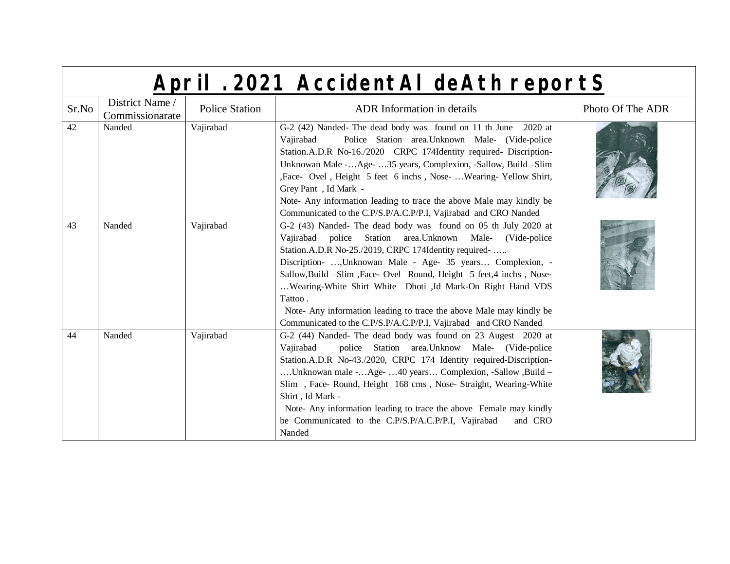|       | April . 2021 AccidentAl deAth reportS |                       |                                                                                                                                                                                                                                                                                                                                                                                                                                                                                                                                              |                  |  |
|-------|---------------------------------------|-----------------------|----------------------------------------------------------------------------------------------------------------------------------------------------------------------------------------------------------------------------------------------------------------------------------------------------------------------------------------------------------------------------------------------------------------------------------------------------------------------------------------------------------------------------------------------|------------------|--|
| Sr.No | District Name /<br>Commissionarate    | <b>Police Station</b> | <b>ADR</b> Information in details                                                                                                                                                                                                                                                                                                                                                                                                                                                                                                            | Photo Of The ADR |  |
| 42    | Nanded                                | Vajirabad             | G-2 (42) Nanded-The dead body was found on 11 th June 2020 at<br>Police Station area. Unknown Male- (Vide-police<br>Vajirabad<br>Station.A.D.R No-16./2020 CRPC 174Identity required- Discription-<br>Unknowan Male -Age- 35 years, Complexion, -Sallow, Build -Slim<br>, Face- Ovel, Height 5 feet 6 inchs, Nose- Wearing-Yellow Shirt,<br>Grey Pant, Id Mark -<br>Note- Any information leading to trace the above Male may kindly be<br>Communicated to the C.P/S.P/A.C.P/P.I, Vajirabad and CRO Nanded                                   |                  |  |
| 43    | Nanded                                | Vajirabad             | G-2 (43) Nanded- The dead body was found on 05 th July 2020 at<br>Vajirabad police Station area. Unknown Male- (Vide-police<br>Station.A.D.R No-25./2019, CRPC 174Identity required-<br>Discription- , Unknowan Male - Age- 35 years Complexion, -<br>Sallow, Build -Slim, Face- Ovel Round, Height 5 feet, 4 inchs, Nose-<br>Wearing-White Shirt White Dhoti ,Id Mark-On Right Hand VDS<br>Tattoo.<br>Note-Any information leading to trace the above Male may kindly be<br>Communicated to the C.P/S.P/A.C.P/P.I, Vajirabad and CRO Nanded |                  |  |
| 44    | Nanded                                | Vajirabad             | G-2 (44) Nanded- The dead body was found on 23 Augest 2020 at<br>police Station area. Unknow Male- (Vide-police<br>Vajirabad<br>Station.A.D.R No-43./2020, CRPC 174 Identity required-Discription-<br>Unknowan male -Age- 40 years Complexion, -Sallow ,Build -<br>Slim, Face-Round, Height 168 cms, Nose-Straight, Wearing-White<br>Shirt, Id Mark -<br>Note- Any information leading to trace the above Female may kindly<br>be Communicated to the C.P/S.P/A.C.P/P.I, Vajirabad<br>and CRO<br>Nanded                                      |                  |  |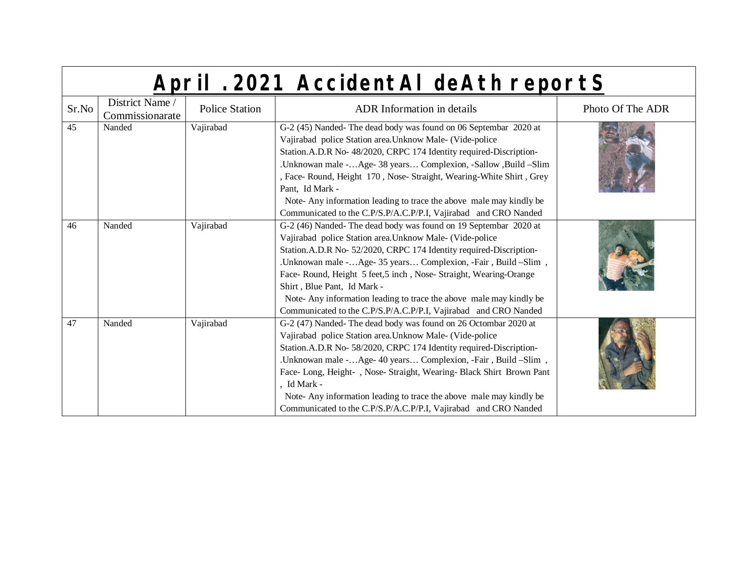|  | April . 2021 AccidentAI deAth reportS |
|--|---------------------------------------|
|  |                                       |

| Sr.No | District Name /<br>Commissionarate | <b>Police Station</b> | <b>ADR</b> Information in details                                                                                                                                                                                                                                                                                                                                                                                                                                                                              | Photo Of The ADR |
|-------|------------------------------------|-----------------------|----------------------------------------------------------------------------------------------------------------------------------------------------------------------------------------------------------------------------------------------------------------------------------------------------------------------------------------------------------------------------------------------------------------------------------------------------------------------------------------------------------------|------------------|
| 45    | Nanded                             | Vajirabad             | G-2 (45) Nanded-The dead body was found on 06 Septembar 2020 at<br>Vajirabad police Station area. Unknow Male- (Vide-police<br>Station.A.D.R No- 48/2020, CRPC 174 Identity required-Discription-<br>.Unknowan male -Age- 38 years Complexion, -Sallow ,Build -Slim<br>, Face-Round, Height 170, Nose-Straight, Wearing-White Shirt, Grey<br>Pant, Id Mark -<br>Note-Any information leading to trace the above male may kindly be<br>Communicated to the C.P/S.P/A.C.P/P.I, Vajirabad and CRO Nanded          |                  |
| 46    | Nanded                             | Vajirabad             | G-2 (46) Nanded-The dead body was found on 19 Septembar 2020 at<br>Vajirabad police Station area. Unknow Male- (Vide-police<br>Station.A.D.R No- 52/2020, CRPC 174 Identity required-Discription-<br>.Unknowan male -Age- 35 years Complexion, -Fair, Build -Slim,<br>Face-Round, Height 5 feet, 5 inch, Nose-Straight, Wearing-Orange<br>Shirt, Blue Pant, Id Mark -<br>Note-Any information leading to trace the above male may kindly be<br>Communicated to the C.P/S.P/A.C.P/P.I, Vajirabad and CRO Nanded |                  |
| 47    | Nanded                             | Vajirabad             | G-2 (47) Nanded-The dead body was found on 26 Octombar 2020 at<br>Vajirabad police Station area. Unknow Male- (Vide-police<br>Station.A.D.R No- 58/2020, CRPC 174 Identity required-Discription-<br>. Unknowan male - Age- 40 years Complexion, -Fair, Build -Slim,<br>Face-Long, Height-, Nose-Straight, Wearing-Black Shirt Brown Pant<br>, Id Mark -<br>Note-Any information leading to trace the above male may kindly be<br>Communicated to the C.P/S.P/A.C.P/P.I, Vajirabad and CRO Nanded               |                  |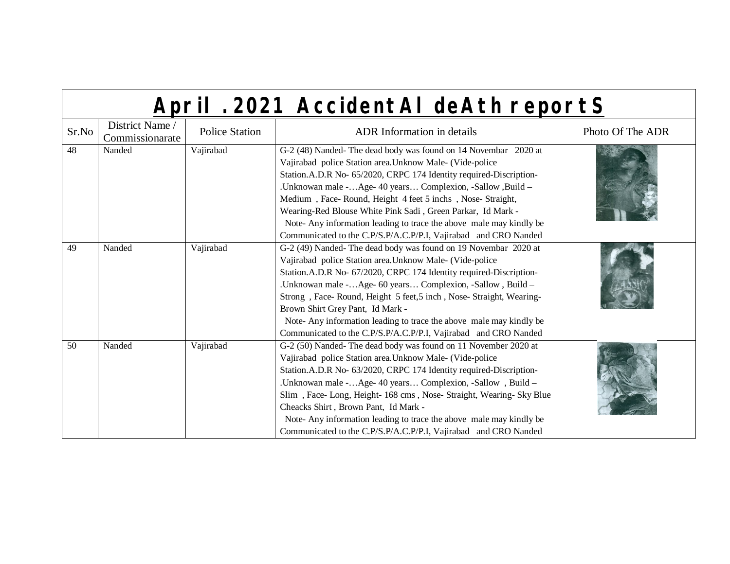|  | April . 2021 AccidentAI deAth reportS |  |
|--|---------------------------------------|--|
|  |                                       |  |

| Sr.No | District Name /<br>Commissionarate | <b>Police Station</b> | <b>ADR</b> Information in details                                                                                                                                                                                                                                                                                                                                                                                                                                                                                                   | Photo Of The ADR |
|-------|------------------------------------|-----------------------|-------------------------------------------------------------------------------------------------------------------------------------------------------------------------------------------------------------------------------------------------------------------------------------------------------------------------------------------------------------------------------------------------------------------------------------------------------------------------------------------------------------------------------------|------------------|
| 48    | Nanded                             | Vajirabad             | G-2 (48) Nanded-The dead body was found on 14 Novembar 2020 at<br>Vajirabad police Station area. Unknow Male- (Vide-police<br>Station.A.D.R No- 65/2020, CRPC 174 Identity required-Discription-<br>.Unknowan male -Age- 40 years Complexion, -Sallow ,Build -<br>Medium, Face-Round, Height 4 feet 5 inchs, Nose-Straight,<br>Wearing-Red Blouse White Pink Sadi, Green Parkar, Id Mark -<br>Note-Any information leading to trace the above male may kindly be<br>Communicated to the C.P/S.P/A.C.P/P.I, Vajirabad and CRO Nanded |                  |
| 49    | Nanded                             | Vajirabad             | G-2 (49) Nanded-The dead body was found on 19 Novembar 2020 at<br>Vajirabad police Station area. Unknow Male- (Vide-police<br>Station.A.D.R No- 67/2020, CRPC 174 Identity required-Discription-<br>.Unknowan male -Age- 60 years Complexion, -Sallow, Build -<br>Strong, Face-Round, Height 5 feet, 5 inch, Nose-Straight, Wearing-<br>Brown Shirt Grey Pant, Id Mark -<br>Note-Any information leading to trace the above male may kindly be<br>Communicated to the C.P/S.P/A.C.P/P.I, Vajirabad and CRO Nanded                   |                  |
| 50    | Nanded                             | Vajirabad             | G-2 (50) Nanded-The dead body was found on 11 November 2020 at<br>Vajirabad police Station area. Unknow Male- (Vide-police<br>Station.A.D.R No- 63/2020, CRPC 174 Identity required-Discription-<br>.Unknowan male -Age- 40 years Complexion, -Sallow, Build -<br>Slim, Face-Long, Height-168 cms, Nose-Straight, Wearing-Sky Blue<br>Cheacks Shirt, Brown Pant, Id Mark -<br>Note-Any information leading to trace the above male may kindly be<br>Communicated to the C.P/S.P/A.C.P/P.I, Vajirabad and CRO Nanded                 |                  |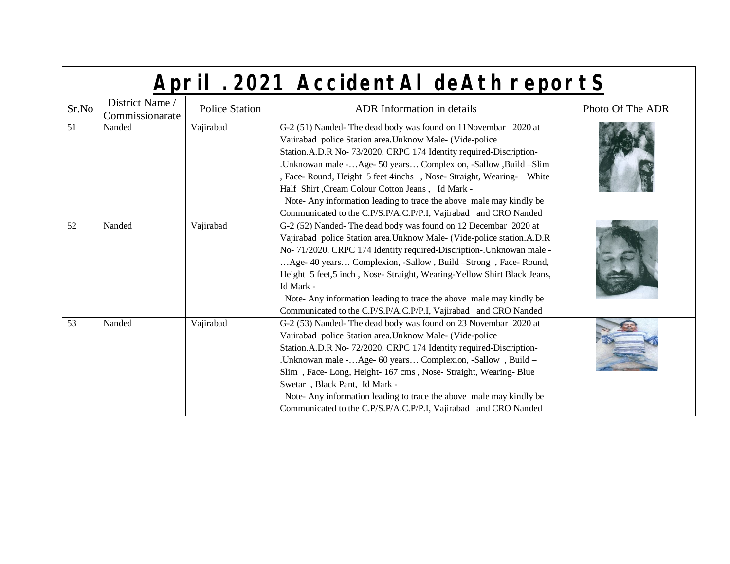|                 |  | April . 2021 AccidentAI deAth reportS |  |  |
|-----------------|--|---------------------------------------|--|--|
| District Name / |  |                                       |  |  |

| Sr.No | District Name /<br>Commissionarate | <b>Police Station</b> | <b>ADR</b> Information in details                                                                                                                                                                                                                                                                                                                                                                                                                                                                                                      | Photo Of The ADR |
|-------|------------------------------------|-----------------------|----------------------------------------------------------------------------------------------------------------------------------------------------------------------------------------------------------------------------------------------------------------------------------------------------------------------------------------------------------------------------------------------------------------------------------------------------------------------------------------------------------------------------------------|------------------|
| 51    | Nanded                             | Vajirabad             | G-2 (51) Nanded-The dead body was found on 11 Novembar 2020 at<br>Vajirabad police Station area. Unknow Male- (Vide-police<br>Station.A.D.R No- 73/2020, CRPC 174 Identity required-Discription-<br>.Unknowan male -Age- 50 years Complexion, -Sallow ,Build -Slim<br>, Face- Round, Height 5 feet 4inchs, Nose- Straight, Wearing- White<br>Half Shirt, Cream Colour Cotton Jeans, Id Mark -<br>Note-Any information leading to trace the above male may kindly be<br>Communicated to the C.P/S.P/A.C.P/P.I, Vajirabad and CRO Nanded |                  |
| 52    | Nanded                             | Vajirabad             | G-2 (52) Nanded-The dead body was found on 12 Decembar 2020 at<br>Vajirabad police Station area. Unknow Male- (Vide-police station.A.D.R<br>No- 71/2020, CRPC 174 Identity required-Discription-. Unknowan male -<br>Age- 40 years Complexion, -Sallow, Build -Strong, Face- Round,<br>Height 5 feet,5 inch, Nose- Straight, Wearing-Yellow Shirt Black Jeans,<br>Id Mark -<br>Note-Any information leading to trace the above male may kindly be<br>Communicated to the C.P/S.P/A.C.P/P.I, Vajirabad and CRO Nanded                   |                  |
| 53    | Nanded                             | Vajirabad             | G-2 (53) Nanded-The dead body was found on 23 Novembar 2020 at<br>Vajirabad police Station area. Unknow Male- (Vide-police<br>Station.A.D.R No- 72/2020, CRPC 174 Identity required-Discription-<br>.Unknowan male -Age- 60 years Complexion, -Sallow, Build -<br>Slim, Face-Long, Height-167 cms, Nose-Straight, Wearing-Blue<br>Swetar, Black Pant, Id Mark -<br>Note-Any information leading to trace the above male may kindly be<br>Communicated to the C.P/S.P/A.C.P/P.I, Vajirabad and CRO Nanded                               |                  |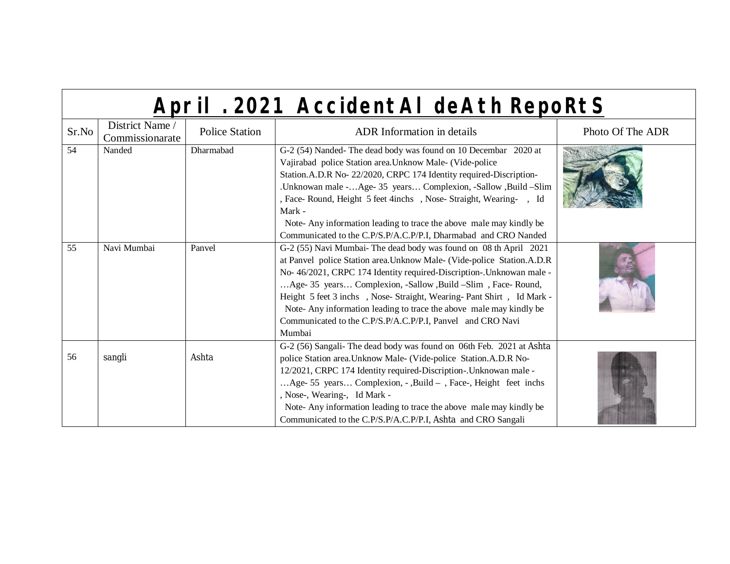| Sr.No | District Name /<br>Commissionarate | <b>Police Station</b> | <b>ADR</b> Information in details                                                                                                                                                                                                                                                                                                                                                                                                                                                                           | Photo Of The ADR |
|-------|------------------------------------|-----------------------|-------------------------------------------------------------------------------------------------------------------------------------------------------------------------------------------------------------------------------------------------------------------------------------------------------------------------------------------------------------------------------------------------------------------------------------------------------------------------------------------------------------|------------------|
| 54    | Nanded                             | Dharmabad             | G-2 (54) Nanded-The dead body was found on 10 Decembar 2020 at<br>Vajirabad police Station area. Unknow Male- (Vide-police                                                                                                                                                                                                                                                                                                                                                                                  |                  |
|       |                                    |                       | Station.A.D.R No- 22/2020, CRPC 174 Identity required-Discription-                                                                                                                                                                                                                                                                                                                                                                                                                                          |                  |
|       |                                    |                       | .Unknowan male -Age- 35 years Complexion, -Sallow ,Build -Slim<br>, Face-Round, Height 5 feet 4inchs, Nose-Straight, Wearing-, Id                                                                                                                                                                                                                                                                                                                                                                           |                  |
|       |                                    |                       | Mark -<br>Note-Any information leading to trace the above male may kindly be                                                                                                                                                                                                                                                                                                                                                                                                                                |                  |
|       |                                    |                       | Communicated to the C.P/S.P/A.C.P/P.I, Dharmabad and CRO Nanded                                                                                                                                                                                                                                                                                                                                                                                                                                             |                  |
| 55    | Navi Mumbai                        | Panvel                | G-2 (55) Navi Mumbai- The dead body was found on 08 th April 2021<br>at Panvel police Station area. Unknow Male- (Vide-police Station.A.D.R<br>No- 46/2021, CRPC 174 Identity required-Discription-. Unknowan male -<br>Age- 35 years Complexion, -Sallow ,Build -Slim, Face-Round,<br>Height 5 feet 3 inchs , Nose- Straight, Wearing- Pant Shirt, Id Mark -<br>Note-Any information leading to trace the above male may kindly be<br>Communicated to the C.P/S.P/A.C.P/P.I, Panvel and CRO Navi<br>Mumbai |                  |
|       |                                    |                       | G-2 (56) Sangali- The dead body was found on 06th Feb. 2021 at Ashta                                                                                                                                                                                                                                                                                                                                                                                                                                        |                  |
| 56    | sangli                             | Ashta                 | police Station area. Unknow Male- (Vide-police Station.A.D.R No-                                                                                                                                                                                                                                                                                                                                                                                                                                            |                  |
|       |                                    |                       | 12/2021, CRPC 174 Identity required-Discription-. Unknowan male -<br>Age- 55 years Complexion, - , Build - , Face-, Height feet inchs<br>, Nose-, Wearing-, Id Mark -<br>Note-Any information leading to trace the above male may kindly be<br>Communicated to the C.P/S.P/A.C.P/P.I, Ashta and CRO Sangali                                                                                                                                                                                                 |                  |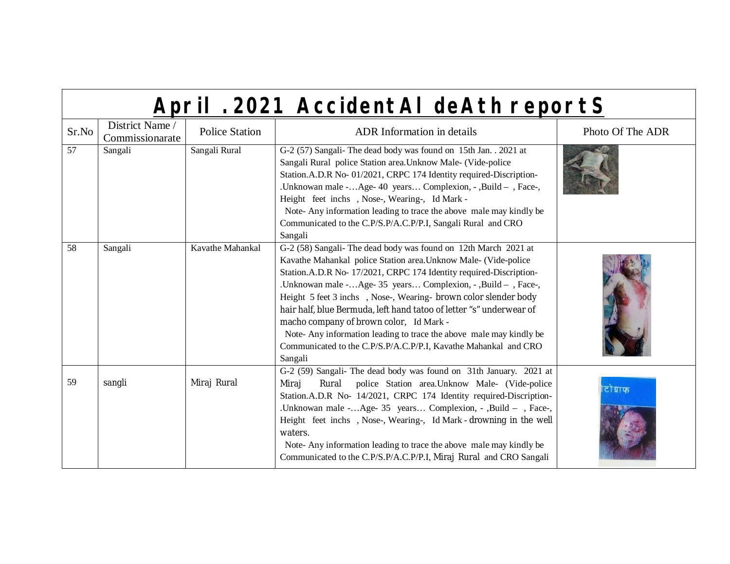|       | April . 2021 AccidentAl deAth reportS |                       |                                                                                                                                                                                                                                                                                                                                                                                                                                                                                                                                                                                                                     |                  |  |
|-------|---------------------------------------|-----------------------|---------------------------------------------------------------------------------------------------------------------------------------------------------------------------------------------------------------------------------------------------------------------------------------------------------------------------------------------------------------------------------------------------------------------------------------------------------------------------------------------------------------------------------------------------------------------------------------------------------------------|------------------|--|
| Sr.No | District Name /<br>Commissionarate    | <b>Police Station</b> | <b>ADR</b> Information in details                                                                                                                                                                                                                                                                                                                                                                                                                                                                                                                                                                                   | Photo Of The ADR |  |
| 57    | Sangali                               | Sangali Rural         | G-2 (57) Sangali- The dead body was found on 15th Jan. . 2021 at<br>Sangali Rural police Station area. Unknow Male- (Vide-police<br>Station.A.D.R No- 01/2021, CRPC 174 Identity required-Discription-<br>.Unknowan male -Age- 40 years Complexion, -, Build -, Face-,<br>Height feet inchs, Nose-, Wearing-, Id Mark -<br>Note-Any information leading to trace the above male may kindly be<br>Communicated to the C.P/S.P/A.C.P/P.I, Sangali Rural and CRO<br>Sangali                                                                                                                                            |                  |  |
| 58    | Sangali                               | Kavathe Mahankal      | G-2 (58) Sangali- The dead body was found on 12th March 2021 at<br>Kavathe Mahankal police Station area. Unknow Male- (Vide-police<br>Station.A.D.R No- 17/2021, CRPC 174 Identity required-Discription-<br>.Unknowan male -Age- 35 years Complexion, -, Build - , Face-,<br>Height 5 feet 3 inchs , Nose-, Wearing- brown color slender body<br>hair half, blue Bermuda, left hand tatoo of letter "s" underwear of<br>macho company of brown color, Id Mark -<br>Note-Any information leading to trace the above male may kindly be<br>Communicated to the C.P/S.P/A.C.P/P.I, Kavathe Mahankal and CRO<br>Sangali |                  |  |
| 59    | sangli                                | Miraj Rural           | G-2 (59) Sangali- The dead body was found on 31th January. 2021 at<br>Rural police Station area. Unknow Male- (Vide-police<br>Miraj<br>Station.A.D.R No- 14/2021, CRPC 174 Identity required-Discription-<br>.Unknowan male -Age- 35 years Complexion, - ,Build - , Face-,<br>Height feet inchs, Nose-, Wearing-, Id Mark - drowning in the well<br>waters.<br>Note- Any information leading to trace the above male may kindly be<br>Communicated to the C.P/S.P/A.C.P/P.I, Miraj Rural and CRO Sangali                                                                                                            | टोब्राफ          |  |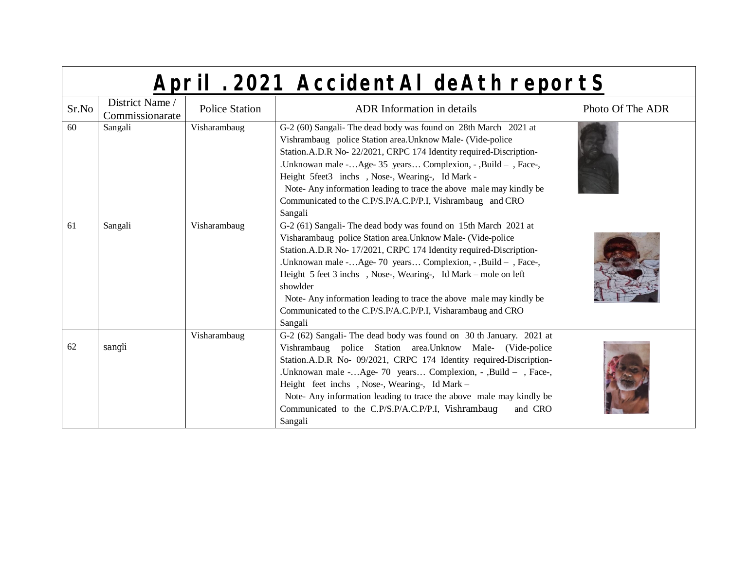|       | April . 2021 AccidentAl deAth reportS |                       |                                                                                                                                                                                                                                                                                                                                                                                                                                                                                                    |                  |  |
|-------|---------------------------------------|-----------------------|----------------------------------------------------------------------------------------------------------------------------------------------------------------------------------------------------------------------------------------------------------------------------------------------------------------------------------------------------------------------------------------------------------------------------------------------------------------------------------------------------|------------------|--|
| Sr.No | District Name /<br>Commissionarate    | <b>Police Station</b> | <b>ADR</b> Information in details                                                                                                                                                                                                                                                                                                                                                                                                                                                                  | Photo Of The ADR |  |
| 60    | Sangali                               | Visharambaug          | G-2 (60) Sangali- The dead body was found on 28th March 2021 at<br>Vishrambaug police Station area. Unknow Male- (Vide-police<br>Station.A.D.R No- 22/2021, CRPC 174 Identity required-Discription-<br>.Unknowan male -Age- 35 years Complexion, -, Build - , Face-,<br>Height 5feet3 inchs, Nose-, Wearing-, Id Mark -<br>Note-Any information leading to trace the above male may kindly be<br>Communicated to the C.P/S.P/A.C.P/P.I, Vishrambaug and CRO<br>Sangali                             |                  |  |
| 61    | Sangali                               | Visharambaug          | G-2 (61) Sangali- The dead body was found on 15th March 2021 at<br>Visharambaug police Station area. Unknow Male- (Vide-police<br>Station.A.D.R No- 17/2021, CRPC 174 Identity required-Discription-<br>.Unknowan male -Age-70 years Complexion, -, Build -, Face-,<br>Height 5 feet 3 inchs, Nose-, Wearing-, Id Mark – mole on left<br>showlder<br>Note- Any information leading to trace the above male may kindly be<br>Communicated to the C.P/S.P/A.C.P/P.I, Visharambaug and CRO<br>Sangali |                  |  |
| 62    | sangli                                | Visharambaug          | G-2 (62) Sangali- The dead body was found on 30 th January. 2021 at<br>Vishrambaug police Station area. Unknow Male- (Vide-police<br>Station.A.D.R No- 09/2021, CRPC 174 Identity required-Discription-<br>.Unknowan male -Age- 70 years Complexion, - ,Build - , Face-,<br>Height feet inchs, Nose-, Wearing-, Id Mark -<br>Note- Any information leading to trace the above male may kindly be<br>Communicated to the C.P/S.P/A.C.P/P.I, Vishrambaug<br>and CRO<br>Sangali                       |                  |  |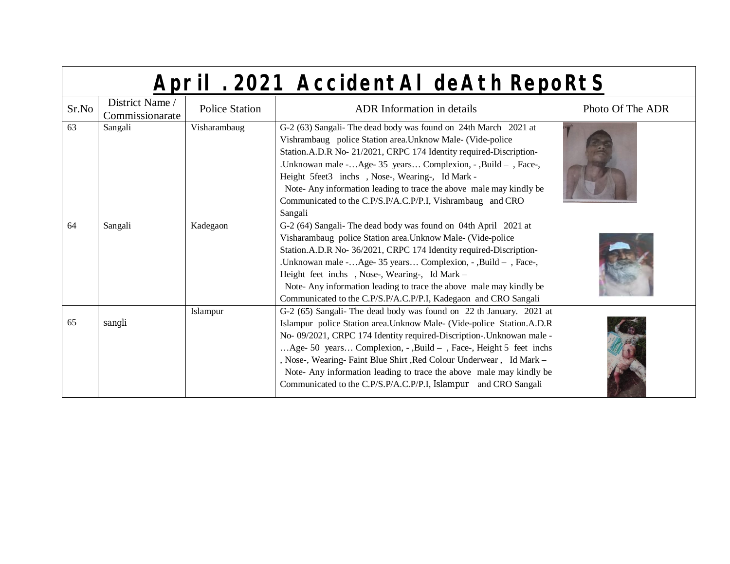| Sr.No | District Name /<br>Commissionarate | <b>Police Station</b> | <b>ADR</b> Information in details                                                                                                                                                                                                                                                                                                                                                                                                                                                                           | Photo Of The ADR |
|-------|------------------------------------|-----------------------|-------------------------------------------------------------------------------------------------------------------------------------------------------------------------------------------------------------------------------------------------------------------------------------------------------------------------------------------------------------------------------------------------------------------------------------------------------------------------------------------------------------|------------------|
| 63    | Sangali                            | Visharambaug          | G-2 (63) Sangali- The dead body was found on 24th March 2021 at<br>Vishrambaug police Station area. Unknow Male- (Vide-police<br>Station.A.D.R No- 21/2021, CRPC 174 Identity required-Discription-<br>.Unknowan male -Age- 35 years Complexion, -, Build - , Face-,<br>Height 5feet3 inchs, Nose-, Wearing-, Id Mark -<br>Note-Any information leading to trace the above male may kindly be<br>Communicated to the C.P/S.P/A.C.P/P.I, Vishrambaug and CRO<br>Sangali                                      |                  |
| 64    | Sangali                            | Kadegaon              | G-2 (64) Sangali- The dead body was found on 04th April 2021 at<br>Visharambaug police Station area. Unknow Male- (Vide-police<br>Station.A.D.R No- 36/2021, CRPC 174 Identity required-Discription-<br>.Unknowan male -Age- 35 years Complexion, - ,Build - , Face-,<br>Height feet inchs, Nose-, Wearing-, Id Mark -<br>Note-Any information leading to trace the above male may kindly be<br>Communicated to the C.P/S.P/A.C.P/P.I, Kadegaon and CRO Sangali                                             |                  |
| 65    | sangli                             | Islampur              | G-2 (65) Sangali- The dead body was found on 22 th January. 2021 at<br>Islampur police Station area. Unknow Male- (Vide-police Station.A.D.R<br>No- 09/2021, CRPC 174 Identity required-Discription-. Unknowan male -<br>Age- 50 years Complexion, - , Build – , Face-, Height 5 feet inchs<br>, Nose-, Wearing-Faint Blue Shirt, Red Colour Underwear, Id Mark -<br>Note- Any information leading to trace the above male may kindly be<br>Communicated to the C.P/S.P/A.C.P/P.I, Islampur and CRO Sangali |                  |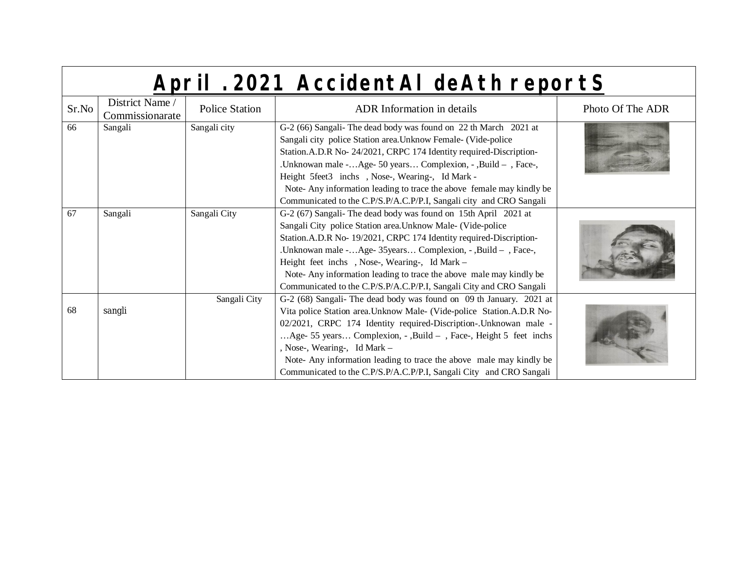|  | April . 2021 AccidentAI deAth reportS |
|--|---------------------------------------|
|  |                                       |

| Sr.No | District Name /<br>Commissionarate | Police Station | ADR Information in details                                                                                                                                                                                                                                                                                                                                                                                                                                            | Photo Of The ADR |
|-------|------------------------------------|----------------|-----------------------------------------------------------------------------------------------------------------------------------------------------------------------------------------------------------------------------------------------------------------------------------------------------------------------------------------------------------------------------------------------------------------------------------------------------------------------|------------------|
| 66    | Sangali                            | Sangali city   | G-2 (66) Sangali- The dead body was found on 22 th March 2021 at<br>Sangali city police Station area. Unknow Female- (Vide-police<br>Station.A.D.R No- 24/2021, CRPC 174 Identity required-Discription-                                                                                                                                                                                                                                                               |                  |
|       |                                    |                | .Unknowan male -Age- 50 years Complexion, - ,Build - , Face-,<br>Height 5feet3 inchs, Nose-, Wearing-, Id Mark -<br>Note- Any information leading to trace the above female may kindly be                                                                                                                                                                                                                                                                             |                  |
| 67    | Sangali                            | Sangali City   | Communicated to the C.P/S.P/A.C.P/P.I, Sangali city and CRO Sangali<br>G-2 (67) Sangali- The dead body was found on 15th April 2021 at                                                                                                                                                                                                                                                                                                                                |                  |
|       |                                    |                | Sangali City police Station area. Unknow Male- (Vide-police<br>Station.A.D.R No- 19/2021, CRPC 174 Identity required-Discription-<br>.Unknowan male -Age-35years Complexion, -, Build - , Face-,<br>Height feet inchs, Nose-, Wearing-, Id Mark -<br>Note-Any information leading to trace the above male may kindly be<br>Communicated to the C.P/S.P/A.C.P/P.I, Sangali City and CRO Sangali                                                                        |                  |
| 68    | sangli                             | Sangali City   | G-2 (68) Sangali- The dead body was found on 09 th January. 2021 at<br>Vita police Station area. Unknow Male- (Vide-police Station. A.D.R No-<br>02/2021, CRPC 174 Identity required-Discription-. Unknowan male -<br>Age- 55 years Complexion, - , Build –, Face-, Height 5 feet inchs<br>, Nose-, Wearing-, Id Mark -<br>Note- Any information leading to trace the above male may kindly be<br>Communicated to the C.P/S.P/A.C.P/P.I, Sangali City and CRO Sangali |                  |